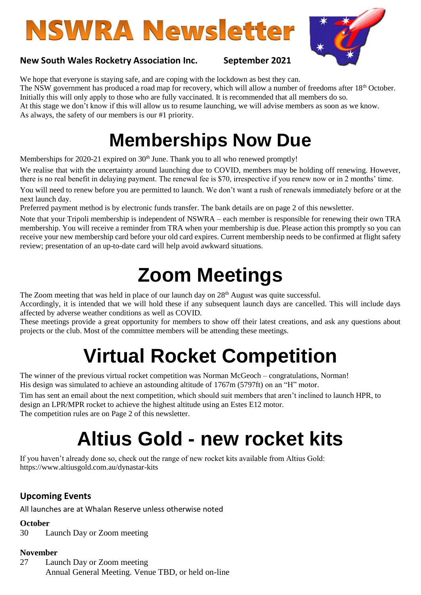# **NSWRA Newsletter**



### **New South Wales Rocketry Association Inc. September 2021**

We hope that everyone is staying safe, and are coping with the lockdown as best they can. The NSW government has produced a road map for recovery, which will allow a number of freedoms after 18<sup>th</sup> October. Initially this will only apply to those who are fully vaccinated. It is recommended that all members do so. At this stage we don't know if this will allow us to resume launching, we will advise members as soon as we know. As always, the safety of our members is our #1 priority.

### **Memberships Now Due**

Memberships for 2020-21 expired on 30<sup>th</sup> June. Thank you to all who renewed promptly!

We realise that with the uncertainty around launching due to COVID, members may be holding off renewing. However, there is no real benefit in delaying payment. The renewal fee is \$70, irrespective if you renew now or in 2 months' time.

You will need to renew before you are permitted to launch. We don't want a rush of renewals immediately before or at the next launch day.

Preferred payment method is by electronic funds transfer. The bank details are on page 2 of this newsletter.

Note that your Tripoli membership is independent of NSWRA – each member is responsible for renewing their own TRA membership. You will receive a reminder from TRA when your membership is due. Please action this promptly so you can receive your new membership card before your old card expires. Current membership needs to be confirmed at flight safety review; presentation of an up-to-date card will help avoid awkward situations.

### **Zoom Meetings**

The Zoom meeting that was held in place of our launch day on 28<sup>th</sup> August was quite successful.

Accordingly, it is intended that we will hold these if any subsequent launch days are cancelled. This will include days affected by adverse weather conditions as well as COVID.

These meetings provide a great opportunity for members to show off their latest creations, and ask any questions about projects or the club. Most of the committee members will be attending these meetings.

## **Virtual Rocket Competition**

The winner of the previous virtual rocket competition was Norman McGeoch – congratulations, Norman! His design was simulated to achieve an astounding altitude of 1767m (5797ft) on an "H" motor.

Tim has sent an email about the next competition, which should suit members that aren't inclined to launch HPR, to design an LPR/MPR rocket to achieve the highest altitude using an Estes E12 motor. The competition rules are on Page 2 of this newsletter.

### **Altius Gold - new rocket kits**

If you haven't already done so, check out the range of new rocket kits available from Altius Gold: https://www.altiusgold.com.au/dynastar-kits

### **Upcoming Events**

All launches are at Whalan Reserve unless otherwise noted

#### **October**

30 Launch Day or Zoom meeting

#### **November**

27 Launch Day or Zoom meeting Annual General Meeting. Venue TBD, or held on-line